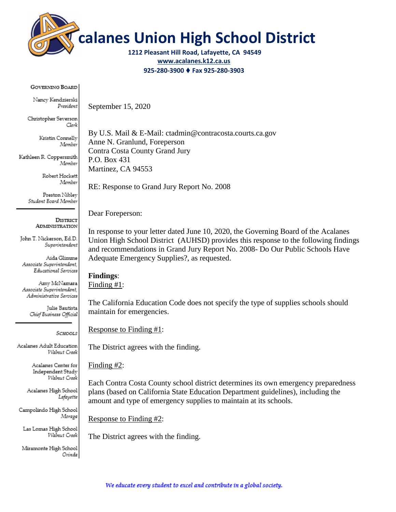

**calanes Union High School District**

**1212 Pleasant Hill Road, Lafayette, CA 94549 [www.acalanes.k12.ca.us](http://www.acalanes.k12.ca.us/) 925-280-3900** ♦ **Fax 925-280-3903**

**GOVERNING BOARD** 

Nancy Kendzierski President

Christopher Severson Clerk

> Kristin Connelly Msmber

Kathleen R. Coppersmith Msmber

> Robert Hockett Msmber

Preston Niblev Student Board Member

> **DISTRICT ADMINISTRATION**

John T. Nickerson, Ed.D. Superintendent

Aida Glimme Associate Superintendent, Educational Services

Amy McNamara Associate Superintendent, Administrative Services

> Julie Bautista Chief Business Official

> > SCHOOLS

Acalanes Adult Education Walnut Creek

> Acalanes Center for Independent Study Walnut Cresk

Acalanes High School Lafayette

Campolindo High School Moraga

Las Lomas High School Walnut Creek

Miramonte High School Orinda

By U.S. Mail & E-Mail: ctadmin@contracosta.courts.ca.gov Anne N. Granlund, Foreperson Contra Costa County Grand Jury P.O. Box 431 Martinez, CA 94553

RE: Response to Grand Jury Report No. 2008

Dear Foreperson:

September 15, 2020

In response to your letter dated June 10, 2020, the Governing Board of the Acalanes Union High School District (AUHSD) provides this response to the following findings and recommendations in Grand Jury Report No. 2008- Do Our Public Schools Have Adequate Emergency Supplies?, as requested.

# **Findings**:

Finding #1:

The California Education Code does not specify the type of supplies schools should maintain for emergencies.

Response to Finding #1:

The District agrees with the finding.

Finding #2:

Each Contra Costa County school district determines its own emergency preparedness plans (based on California State Education Department guidelines), including the amount and type of emergency supplies to maintain at its schools.

Response to Finding #2:

The District agrees with the finding.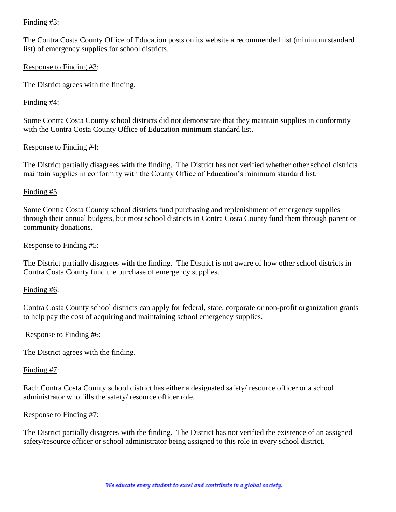# Finding #3:

The Contra Costa County Office of Education posts on its website a recommended list (minimum standard list) of emergency supplies for school districts.

## Response to Finding #3:

The District agrees with the finding.

# Finding #4:

Some Contra Costa County school districts did not demonstrate that they maintain supplies in conformity with the Contra Costa County Office of Education minimum standard list.

# Response to Finding #4:

The District partially disagrees with the finding. The District has not verified whether other school districts maintain supplies in conformity with the County Office of Education's minimum standard list.

# Finding #5:

Some Contra Costa County school districts fund purchasing and replenishment of emergency supplies through their annual budgets, but most school districts in Contra Costa County fund them through parent or community donations.

# Response to Finding #5:

The District partially disagrees with the finding. The District is not aware of how other school districts in Contra Costa County fund the purchase of emergency supplies.

## Finding #6:

Contra Costa County school districts can apply for federal, state, corporate or non-profit organization grants to help pay the cost of acquiring and maintaining school emergency supplies.

## Response to Finding #6:

The District agrees with the finding.

## Finding #7:

Each Contra Costa County school district has either a designated safety/ resource officer or a school administrator who fills the safety/ resource officer role.

## Response to Finding #7:

The District partially disagrees with the finding. The District has not verified the existence of an assigned safety/resource officer or school administrator being assigned to this role in every school district.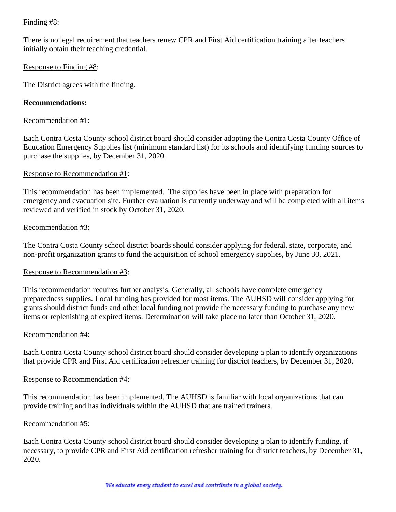# Finding #8:

There is no legal requirement that teachers renew CPR and First Aid certification training after teachers initially obtain their teaching credential.

## Response to Finding #8:

The District agrees with the finding.

# **Recommendations:**

## Recommendation #1:

Each Contra Costa County school district board should consider adopting the Contra Costa County Office of Education Emergency Supplies list (minimum standard list) for its schools and identifying funding sources to purchase the supplies, by December 31, 2020.

## Response to Recommendation #1:

This recommendation has been implemented. The supplies have been in place with preparation for emergency and evacuation site. Further evaluation is currently underway and will be completed with all items reviewed and verified in stock by October 31, 2020.

## Recommendation #3:

The Contra Costa County school district boards should consider applying for federal, state, corporate, and non-profit organization grants to fund the acquisition of school emergency supplies, by June 30, 2021.

## Response to Recommendation #3:

This recommendation requires further analysis. Generally, all schools have complete emergency preparedness supplies. Local funding has provided for most items. The AUHSD will consider applying for grants should district funds and other local funding not provide the necessary funding to purchase any new items or replenishing of expired items. Determination will take place no later than October 31, 2020.

## Recommendation #4:

Each Contra Costa County school district board should consider developing a plan to identify organizations that provide CPR and First Aid certification refresher training for district teachers, by December 31, 2020.

## Response to Recommendation #4:

This recommendation has been implemented. The AUHSD is familiar with local organizations that can provide training and has individuals within the AUHSD that are trained trainers.

## Recommendation #5:

Each Contra Costa County school district board should consider developing a plan to identify funding, if necessary, to provide CPR and First Aid certification refresher training for district teachers, by December 31, 2020.